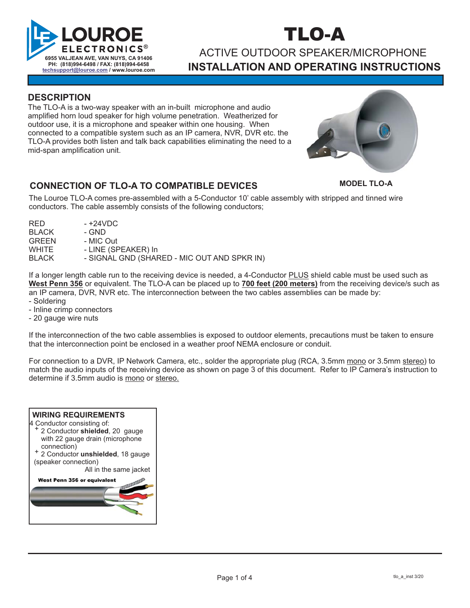

# TLO-A

## ACTIVE OUTDOOR SPEAKER/MICROPHONE **INSTALLATION AND OPERATING INSTRUCTIONS**

### **DESCRIPTION**

The TLO-A is a two-way speaker with an in-built microphone and audio amplified horn loud speaker for high volume penetration. Weatherized for outdoor use, it is a microphone and speaker within one housing. When connected to a compatible system such as an IP camera, NVR, DVR etc. the TLO-A provides both listen and talk back capabilities eliminating the need to a mid-span amplification unit.



### **CONNECTION OF TLO-A TO COMPATIBLE DEVICES**

**MODEL TLO-A**

The Louroe TLO-A comes pre-assembled with a 5-Conductor 10' cable assembly with stripped and tinned wire conductors. The cable assembly consists of the following conductors;

| RED.         | - +24VDC                                    |
|--------------|---------------------------------------------|
| <b>BLACK</b> | - GND                                       |
| <b>GREEN</b> | - MIC Out                                   |
| <b>WHITE</b> | - LINE (SPEAKER) In                         |
| <b>BLACK</b> | - SIGNAL GND (SHARED - MIC OUT AND SPKR IN) |
|              |                                             |

If a longer length cable run to the receiving device is needed, a 4-Conductor **PLUS** shield cable must be used such as West Penn 356 or equivalent. The TLO-A can be placed up to 700 feet (200 meters) from the receiving device/s such as an IP camera, DVR, NVR etc. The interconnection between the two cables assemblies can be made by: - Soldering

- Inline crimp connectors - 20 gauge wire nuts

If the interconnection of the two cable assemblies is exposed to outdoor elements, precautions must be taken to ensure that the interconnection point be enclosed in a weather proof NEMA enclosure or conduit.

For connection to a DVR, IP Network Camera, etc., solder the appropriate plug (RCA, 3.5mm <u>mono</u> or 3.5mm <u>stereo</u>) to match the audio inputs of the receiving device as shown on page 3 of this document. Refer to IP Camera's instruction to determine if 3.5mm audio is <u>mono</u> or <u>stereo.</u>

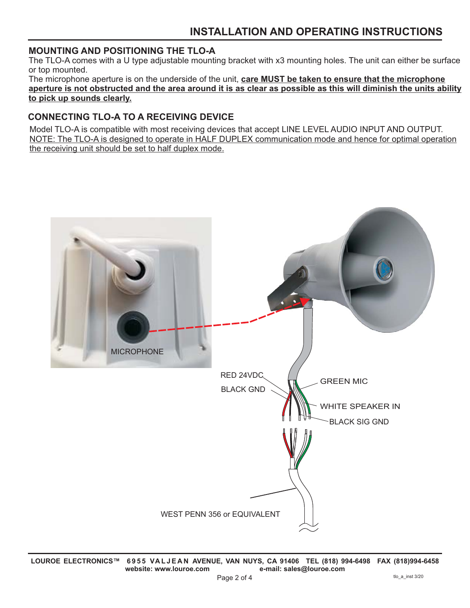### **MOUNTING AND POSITIONING THE TLO-A**

The TLO-A comes with a U type adjustable mounting bracket with x3 mounting holes. The unit can either be surface or top mounted.

The microphone aperture is on the underside of the unit, **care MUST be taken to ensure that the microphone aperture is not obstructed and the area around it is as clear as possible as this will diminish the units ability to pick up sounds clearly.**

### **CONNECTING TLO-A TO A RECEIVING DEVICE**

Model TLO-A is compatible with most receiving devices that accept LINE LEVEL AUDIO INPUT AND OUTPUT. NOTE: The TLO-A is designed to operate in HALF DUPLEX communication mode and hence for optimal operation the receiving unit should be set to half duplex mode.

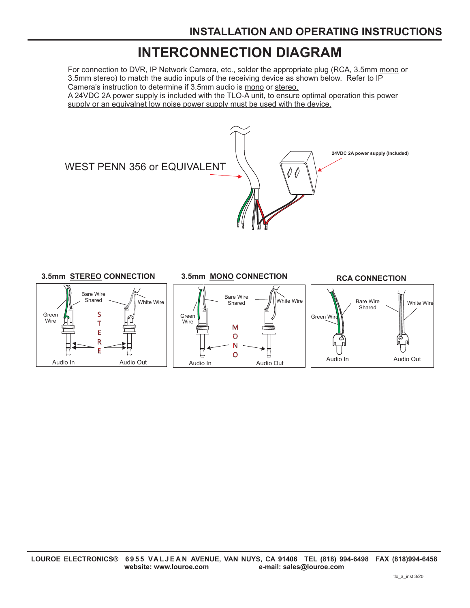## **INTERCONNECTION DIAGRAM**

For connection to DVR, IP Network Camera, etc., solder the appropriate plug (RCA, 3.5mm mono or 3.5mm <u>stereo</u>) to match the audio inputs of the receiving device as shown below. Refer to IP Camera's instruction to determine if 3.5mm audio is mono or stereo. A 24VDC 2A power supply is included with the TLO-A unit, to ensure optimal operation this power

supply or an equivalnet low noise power supply must be used with the device.



### **3.5mm** STEREO CONNECTION 3.5mm MONO CONNECTION RCA CONNECTION